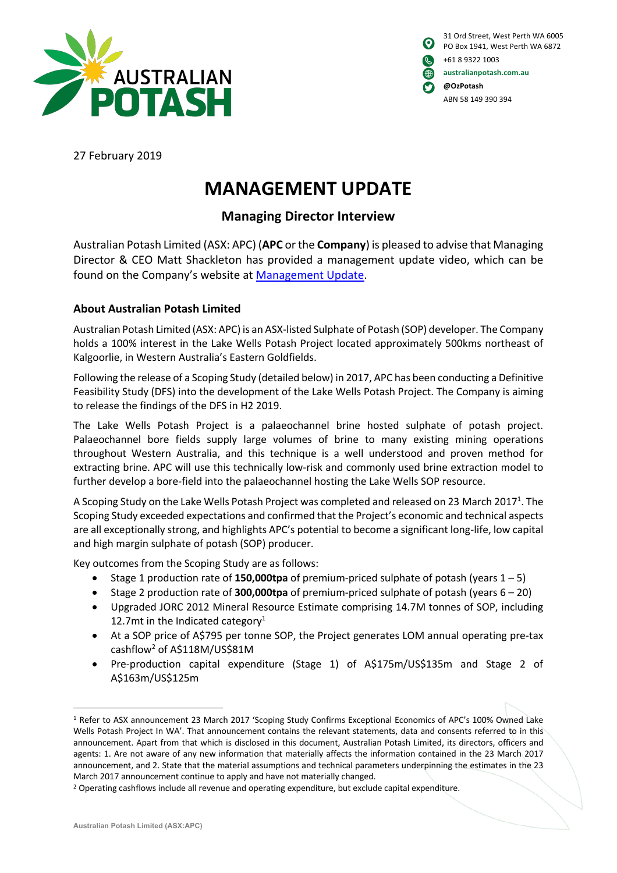

| $\boldsymbol{\Theta}$ | 31 Ord Street, West Perth WA 6005<br>PO Box 1941, West Perth WA 6872 |
|-----------------------|----------------------------------------------------------------------|
| l Qui                 | +61 8 9322 1003                                                      |
| (4)                   | australianpotash.com.au                                              |
| O                     | @OzPotash                                                            |
|                       | ABN 58 149 390 394                                                   |

27 February 2019

# **MANAGEMENT UPDATE**

## **Managing Director Interview**

Australian Potash Limited (ASX: APC) (**APC** or the **Company**) is pleased to advise that Managing Director & CEO Matt Shackleton has provided a management update video, which can be found on the Company's website at Management Update.

### **About Australian Potash Limited**

Australian Potash Limited (ASX: APC) is an ASX-listed Sulphate of Potash (SOP) developer. The Company holds a 100% interest in the Lake Wells Potash Project located approximately 500kms northeast of Kalgoorlie, in Western Australia's Eastern Goldfields.

Following the release of a Scoping Study (detailed below) in 2017, APC has been conducting a Definitive Feasibility Study (DFS) into the development of the Lake Wells Potash Project. The Company is aiming to release the findings of the DFS in H2 2019.

The Lake Wells Potash Project is a palaeochannel brine hosted sulphate of potash project. Palaeochannel bore fields supply large volumes of brine to many existing mining operations throughout Western Australia, and this technique is a well understood and proven method for extracting brine. APC will use this technically low-risk and commonly used brine extraction model to further develop a bore-field into the palaeochannel hosting the Lake Wells SOP resource.

A Scoping Study on the Lake Wells Potash Project was completed and released on 23 March 2017<sup>1</sup>. The Scoping Study exceeded expectations and confirmed that the Project's economic and technical aspects are all exceptionally strong, and highlights APC's potential to become a significant long-life, low capital and high margin sulphate of potash (SOP) producer.

Key outcomes from the Scoping Study are as follows:

- Stage 1 production rate of **150,000tpa** of premium-priced sulphate of potash (years 1 5)
- Stage 2 production rate of **300,000tpa** of premium-priced sulphate of potash (years 6 20)
- Upgraded JORC 2012 Mineral Resource Estimate comprising 14.7M tonnes of SOP, including 12.7mt in the Indicated category $1$
- At a SOP price of A\$795 per tonne SOP, the Project generates LOM annual operating pre-tax cashflow2 of A\$118M/US\$81M
- Pre-production capital expenditure (Stage 1) of A\$175m/US\$135m and Stage 2 of A\$163m/US\$125m

 <sup>1</sup> Refer to ASX announcement 23 March 2017 'Scoping Study Confirms Exceptional Economics of APC's 100% Owned Lake Wells Potash Project In WA'. That announcement contains the relevant statements, data and consents referred to in this announcement. Apart from that which is disclosed in this document, Australian Potash Limited, its directors, officers and agents: 1. Are not aware of any new information that materially affects the information contained in the 23 March 2017 announcement, and 2. State that the material assumptions and technical parameters underpinning the estimates in the 23 March 2017 announcement continue to apply and have not materially changed.

<sup>&</sup>lt;sup>2</sup> Operating cashflows include all revenue and operating expenditure, but exclude capital expenditure.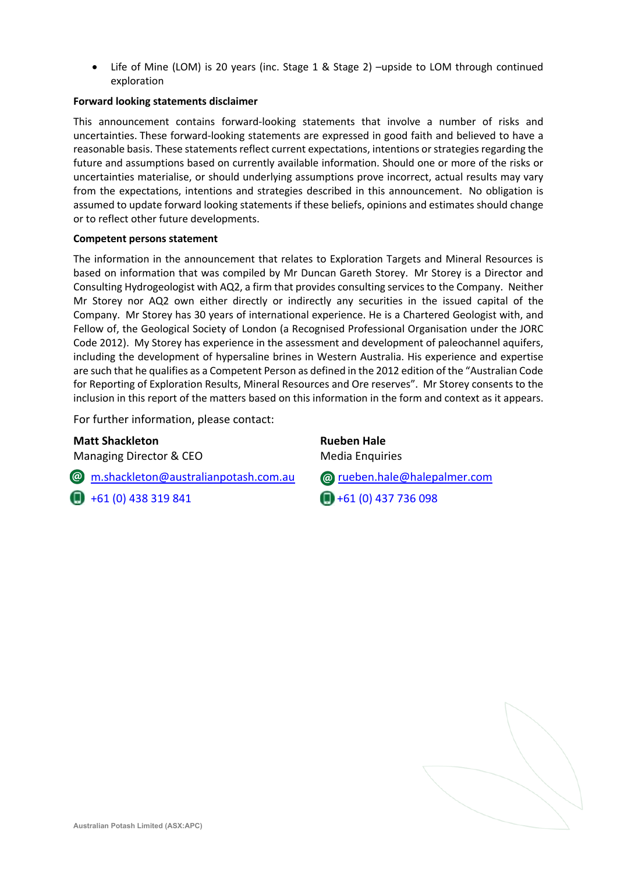• Life of Mine (LOM) is 20 years (inc. Stage 1 & Stage 2) –upside to LOM through continued exploration

#### **Forward looking statements disclaimer**

This announcement contains forward-looking statements that involve a number of risks and uncertainties. These forward-looking statements are expressed in good faith and believed to have a reasonable basis. These statements reflect current expectations, intentions or strategies regarding the future and assumptions based on currently available information. Should one or more of the risks or uncertainties materialise, or should underlying assumptions prove incorrect, actual results may vary from the expectations, intentions and strategies described in this announcement. No obligation is assumed to update forward looking statements if these beliefs, opinions and estimates should change or to reflect other future developments.

#### **Competent persons statement**

The information in the announcement that relates to Exploration Targets and Mineral Resources is based on information that was compiled by Mr Duncan Gareth Storey. Mr Storey is a Director and Consulting Hydrogeologist with AQ2, a firm that provides consulting services to the Company. Neither Mr Storey nor AQ2 own either directly or indirectly any securities in the issued capital of the Company. Mr Storey has 30 years of international experience. He is a Chartered Geologist with, and Fellow of, the Geological Society of London (a Recognised Professional Organisation under the JORC Code 2012). My Storey has experience in the assessment and development of paleochannel aquifers, including the development of hypersaline brines in Western Australia. His experience and expertise are such that he qualifies as a Competent Person as defined in the 2012 edition of the "Australian Code for Reporting of Exploration Results, Mineral Resources and Ore reserves". Mr Storey consents to the inclusion in this report of the matters based on this information in the form and context as it appears.

For further information, please contact:

#### **Matt Shackleton Rueben Hale**

Managing Director & CEO Media Enquiries

m.shackleton@australianpotash.com.au rueben.hale@halepalmer.com

 $\Box$  +61 (0) 438 319 841  $\Box$  +61 (0) 437 736 098